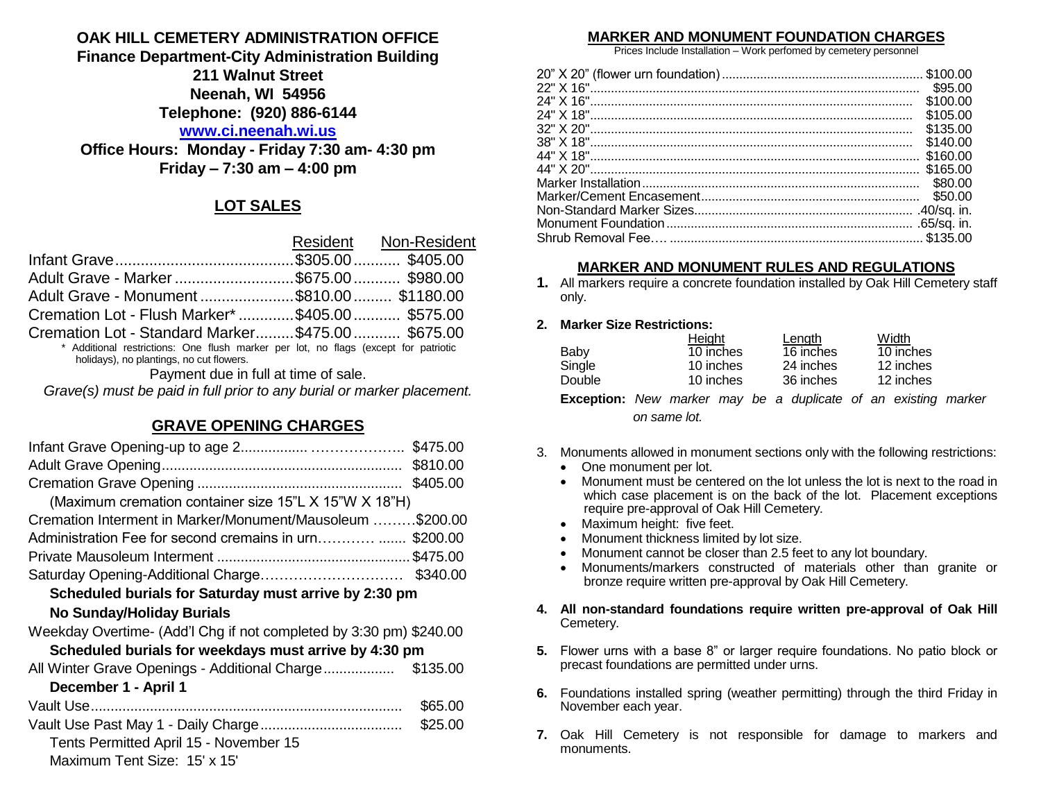# **OAK HILL CEMETERY ADMINISTRATION OFFICE**

**Finance Department-City Administration Building**

#### **211 Walnut Street Neenah, WI 54956**

**Telephone: (920) 886-6144**

#### **[www.ci.neenah.wi.us](http://www.ci.neenah.wi.us/)**

**Office Hours: Monday - Friday 7:30 am- 4:30 pm Friday – 7:30 am – 4:00 pm**

# **LOT SALES**

| Resident Non-Resident                                                               |
|-------------------------------------------------------------------------------------|
|                                                                                     |
| Adult Grave - Marker \$675.00  \$980.00                                             |
| Adult Grave - Monument \$810.00  \$1180.00                                          |
| Cremation Lot - Flush Marker* \$405.00  \$575.00                                    |
| Cremation Lot - Standard Marker \$475.00 \$675.00                                   |
| * Additional restrictions: One flush marker per lot, no flags (except for patriotic |
|                                                                                     |

Payment due in full at time of sale.

*Grave(s) must be paid in full prior to any burial or marker placement.*

# **GRAVE OPENING CHARGES**

|                                                                    | \$475.00 |
|--------------------------------------------------------------------|----------|
|                                                                    | \$810.00 |
|                                                                    | \$405.00 |
| (Maximum cremation container size 15"L X 15"W X 18"H)              |          |
| Cremation Interment in Marker/Monument/Mausoleum                   | \$200.00 |
| Administration Fee for second cremains in urn\$200.00              |          |
|                                                                    |          |
| Saturday Opening-Additional Charge                                 | \$340.00 |
| Scheduled burials for Saturday must arrive by 2:30 pm              |          |
| <b>No Sunday/Holiday Burials</b>                                   |          |
| Weekday Overtime- (Add'l Chg if not completed by 3:30 pm) \$240.00 |          |
| Scheduled burials for weekdays must arrive by 4:30 pm              |          |
|                                                                    |          |
| December 1 - April 1                                               |          |
|                                                                    | \$65.00  |
|                                                                    | \$25.00  |
| Tents Permitted April 15 - November 15                             |          |
| Maximum Tent Size: 15' x 15'                                       |          |

## **MARKER AND MONUMENT FOUNDATION CHARGES**

Prices Include Installation – Work perfomed by cemetery personnel

| \$100.00 |
|----------|
| \$105.00 |
| \$135.00 |
| \$140.00 |
| \$160.00 |
|          |
| \$80.00  |
| \$50.00  |
|          |
|          |
|          |
|          |

### **MARKER AND MONUMENT RULES AND REGULATIONS**

- **1.** All markers require a concrete foundation installed by Oak Hill Cemetery staff only.
- **2. Marker Size Restrictions:**

| 10 inches<br>10 inches | 16 inches<br>24 inches | Width<br>10 inches<br>12 inches |
|------------------------|------------------------|---------------------------------|
| 10 inches              | 36 inches              | 12 inches                       |
|                        |                        | Height<br>Length                |

**Exception:** *New marker may be a duplicate of an existing marker on same lot.* 

- 3. Monuments allowed in monument sections only with the following restrictions:
	- One monument per lot.
	- Monument must be centered on the lot unless the lot is next to the road in which case placement is on the back of the lot. Placement exceptions require pre-approval of Oak Hill Cemetery.
	- Maximum height: five feet.
	- Monument thickness limited by lot size.
	- Monument cannot be closer than 2.5 feet to any lot boundary.
	- Monuments/markers constructed of materials other than granite or bronze require written pre-approval by Oak Hill Cemetery.

#### **4. All non-standard foundations require written pre-approval of Oak Hill** Cemetery.

- **5.** Flower urns with a base 8" or larger require foundations. No patio block or precast foundations are permitted under urns.
- **6.** Foundations installed spring (weather permitting) through the third Friday in November each year.
- **7.** Oak Hill Cemetery is not responsible for damage to markers and monuments.